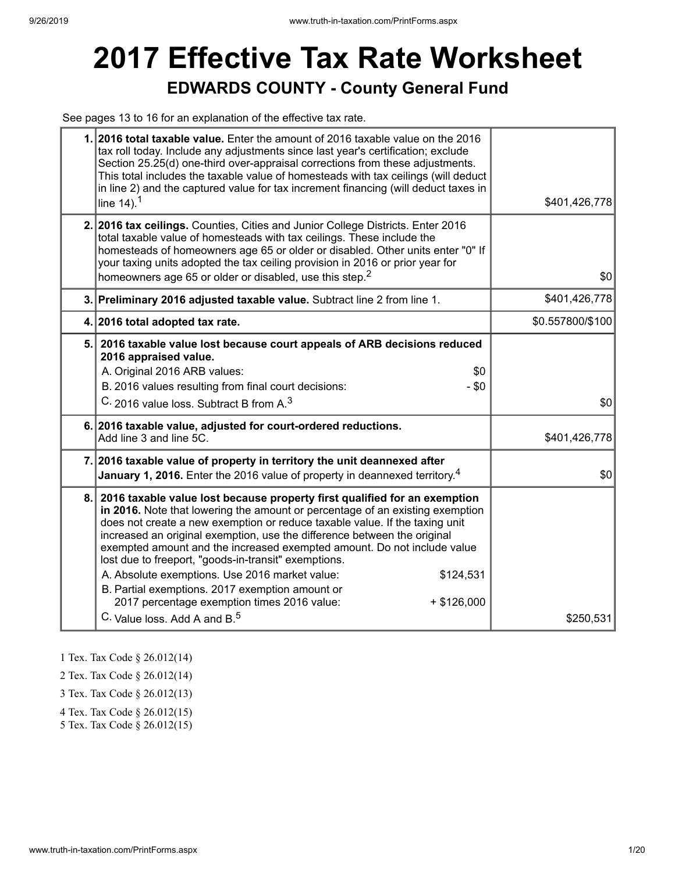# **2017 Effective Tax Rate Worksheet EDWARDS COUNTY - County General Fund**

See pages 13 to 16 for an explanation of the effective tax rate.

|    | 1. 2016 total taxable value. Enter the amount of 2016 taxable value on the 2016<br>tax roll today. Include any adjustments since last year's certification; exclude<br>Section 25.25(d) one-third over-appraisal corrections from these adjustments.<br>This total includes the taxable value of homesteads with tax ceilings (will deduct<br>in line 2) and the captured value for tax increment financing (will deduct taxes in<br>line $14$ ). <sup>1</sup>                                                                                                                                                                                                                         | \$401,426,778    |
|----|----------------------------------------------------------------------------------------------------------------------------------------------------------------------------------------------------------------------------------------------------------------------------------------------------------------------------------------------------------------------------------------------------------------------------------------------------------------------------------------------------------------------------------------------------------------------------------------------------------------------------------------------------------------------------------------|------------------|
|    | 2. 2016 tax ceilings. Counties, Cities and Junior College Districts. Enter 2016<br>total taxable value of homesteads with tax ceilings. These include the<br>homesteads of homeowners age 65 or older or disabled. Other units enter "0" If<br>your taxing units adopted the tax ceiling provision in 2016 or prior year for<br>homeowners age 65 or older or disabled, use this step. <sup>2</sup>                                                                                                                                                                                                                                                                                    | \$0              |
|    | 3. Preliminary 2016 adjusted taxable value. Subtract line 2 from line 1.                                                                                                                                                                                                                                                                                                                                                                                                                                                                                                                                                                                                               | \$401,426,778    |
|    | 4. 2016 total adopted tax rate.                                                                                                                                                                                                                                                                                                                                                                                                                                                                                                                                                                                                                                                        | \$0.557800/\$100 |
|    | 5. 2016 taxable value lost because court appeals of ARB decisions reduced<br>2016 appraised value.<br>A. Original 2016 ARB values:<br>\$0<br>B. 2016 values resulting from final court decisions:<br>$-$ \$0<br>C. 2016 value loss. Subtract B from A. <sup>3</sup>                                                                                                                                                                                                                                                                                                                                                                                                                    | \$0              |
|    | 6. 2016 taxable value, adjusted for court-ordered reductions.<br>Add line 3 and line 5C.                                                                                                                                                                                                                                                                                                                                                                                                                                                                                                                                                                                               | \$401,426,778    |
|    | 7. 2016 taxable value of property in territory the unit deannexed after<br>January 1, 2016. Enter the 2016 value of property in deannexed territory. <sup>4</sup>                                                                                                                                                                                                                                                                                                                                                                                                                                                                                                                      | \$0              |
| 8. | 2016 taxable value lost because property first qualified for an exemption<br>in 2016. Note that lowering the amount or percentage of an existing exemption<br>does not create a new exemption or reduce taxable value. If the taxing unit<br>increased an original exemption, use the difference between the original<br>exempted amount and the increased exempted amount. Do not include value<br>lost due to freeport, "goods-in-transit" exemptions.<br>A. Absolute exemptions. Use 2016 market value:<br>\$124,531<br>B. Partial exemptions. 2017 exemption amount or<br>2017 percentage exemption times 2016 value:<br>$+$ \$126,000<br>C. Value loss. Add A and B. <sup>5</sup> | \$250,531        |

1 Tex. Tax Code § 26.012(14)

2 Tex. Tax Code § 26.012(14)

3 Tex. Tax Code § 26.012(13)

4 Tex. Tax Code § 26.012(15)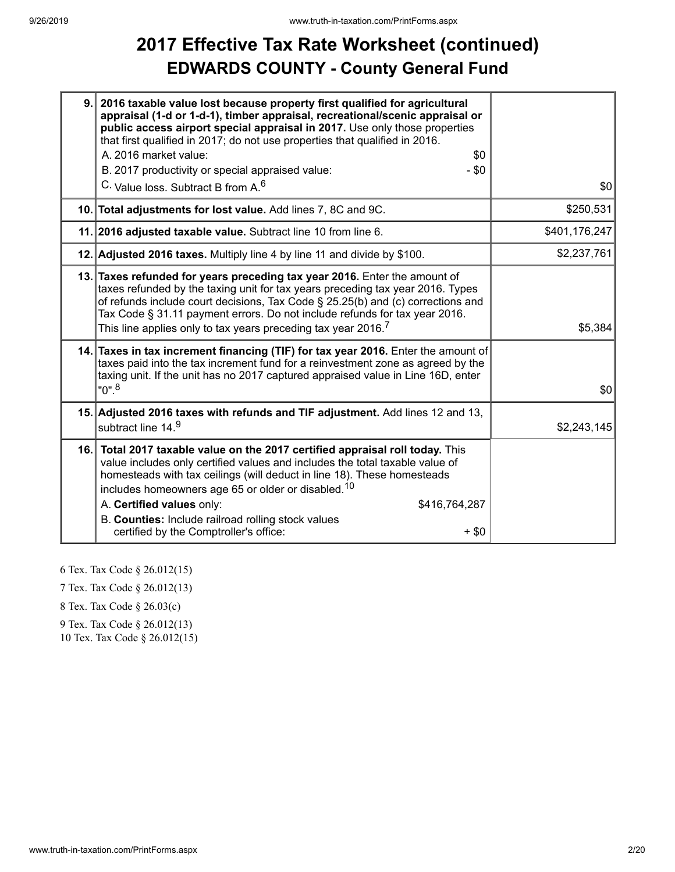## **2017 Effective Tax Rate Worksheet (continued) EDWARDS COUNTY - County General Fund**

| 9.1 | 2016 taxable value lost because property first qualified for agricultural<br>appraisal (1-d or 1-d-1), timber appraisal, recreational/scenic appraisal or<br>public access airport special appraisal in 2017. Use only those properties<br>that first qualified in 2017; do not use properties that qualified in 2016.<br>A. 2016 market value:<br>\$0<br>B. 2017 productivity or special appraised value:<br>- \$0<br>C. Value loss. Subtract B from A. <sup>6</sup> | \$0           |
|-----|-----------------------------------------------------------------------------------------------------------------------------------------------------------------------------------------------------------------------------------------------------------------------------------------------------------------------------------------------------------------------------------------------------------------------------------------------------------------------|---------------|
|     | 10. Total adjustments for lost value. Add lines 7, 8C and 9C.                                                                                                                                                                                                                                                                                                                                                                                                         | \$250,531     |
|     | 11. 2016 adjusted taxable value. Subtract line 10 from line 6.                                                                                                                                                                                                                                                                                                                                                                                                        | \$401,176,247 |
|     | 12. Adjusted 2016 taxes. Multiply line 4 by line 11 and divide by \$100.                                                                                                                                                                                                                                                                                                                                                                                              | \$2,237,761   |
|     | 13. Taxes refunded for years preceding tax year 2016. Enter the amount of<br>taxes refunded by the taxing unit for tax years preceding tax year 2016. Types<br>of refunds include court decisions, Tax Code § 25.25(b) and (c) corrections and<br>Tax Code § 31.11 payment errors. Do not include refunds for tax year 2016.<br>This line applies only to tax years preceding tax year 2016. $^7\,$                                                                   | \$5,384       |
|     | 14. Taxes in tax increment financing (TIF) for tax year 2016. Enter the amount of<br>taxes paid into the tax increment fund for a reinvestment zone as agreed by the<br>taxing unit. If the unit has no 2017 captured appraised value in Line 16D, enter<br>$"0"$ . <sup>8</sup>                                                                                                                                                                                      | \$0           |
|     | 15. Adjusted 2016 taxes with refunds and TIF adjustment. Add lines 12 and 13,<br>subtract line 14.9                                                                                                                                                                                                                                                                                                                                                                   | \$2,243,145   |
|     | 16. Total 2017 taxable value on the 2017 certified appraisal roll today. This<br>value includes only certified values and includes the total taxable value of<br>homesteads with tax ceilings (will deduct in line 18). These homesteads<br>includes homeowners age 65 or older or disabled. <sup>10</sup><br>A. Certified values only:<br>\$416,764,287<br>B. Counties: Include railroad rolling stock values<br>certified by the Comptroller's office:<br>$+$ \$0   |               |

6 Tex. Tax Code § 26.012(15)

7 Tex. Tax Code § 26.012(13)

8 Tex. Tax Code § 26.03(c)

9 Tex. Tax Code § 26.012(13)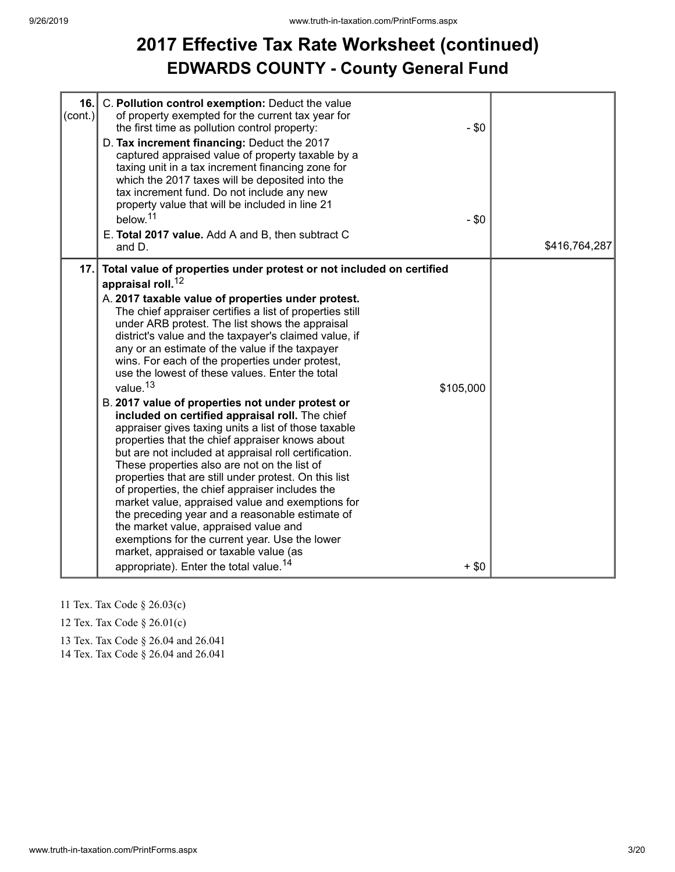## **2017 Effective Tax Rate Worksheet (continued) EDWARDS COUNTY - County General Fund**

| 16.<br>(cont.) | C. Pollution control exemption: Deduct the value<br>of property exempted for the current tax year for<br>the first time as pollution control property:<br>D. Tax increment financing: Deduct the 2017<br>captured appraised value of property taxable by a<br>taxing unit in a tax increment financing zone for<br>which the 2017 taxes will be deposited into the<br>tax increment fund. Do not include any new<br>property value that will be included in line 21<br>below. <sup>11</sup><br>E. Total 2017 value. Add A and B, then subtract C<br>and D.                                                                                                                                                                                                                                                                                                                                                                                                                                                                                                                                                                                                                                                                                                    | $-$ \$0<br>$-$ \$0  | \$416,764,287 |
|----------------|---------------------------------------------------------------------------------------------------------------------------------------------------------------------------------------------------------------------------------------------------------------------------------------------------------------------------------------------------------------------------------------------------------------------------------------------------------------------------------------------------------------------------------------------------------------------------------------------------------------------------------------------------------------------------------------------------------------------------------------------------------------------------------------------------------------------------------------------------------------------------------------------------------------------------------------------------------------------------------------------------------------------------------------------------------------------------------------------------------------------------------------------------------------------------------------------------------------------------------------------------------------|---------------------|---------------|
| 17.            | Total value of properties under protest or not included on certified<br>appraisal roll. <sup>12</sup><br>A. 2017 taxable value of properties under protest.<br>The chief appraiser certifies a list of properties still<br>under ARB protest. The list shows the appraisal<br>district's value and the taxpayer's claimed value, if<br>any or an estimate of the value if the taxpayer<br>wins. For each of the properties under protest,<br>use the lowest of these values. Enter the total<br>value. <sup>13</sup><br>B. 2017 value of properties not under protest or<br>included on certified appraisal roll. The chief<br>appraiser gives taxing units a list of those taxable<br>properties that the chief appraiser knows about<br>but are not included at appraisal roll certification.<br>These properties also are not on the list of<br>properties that are still under protest. On this list<br>of properties, the chief appraiser includes the<br>market value, appraised value and exemptions for<br>the preceding year and a reasonable estimate of<br>the market value, appraised value and<br>exemptions for the current year. Use the lower<br>market, appraised or taxable value (as<br>appropriate). Enter the total value. <sup>14</sup> | \$105,000<br>$+ $0$ |               |

- 11 Tex. Tax Code § 26.03(c)
- 12 Tex. Tax Code § 26.01(c)
- 13 Tex. Tax Code § 26.04 and 26.041

14 Tex. Tax Code § 26.04 and 26.041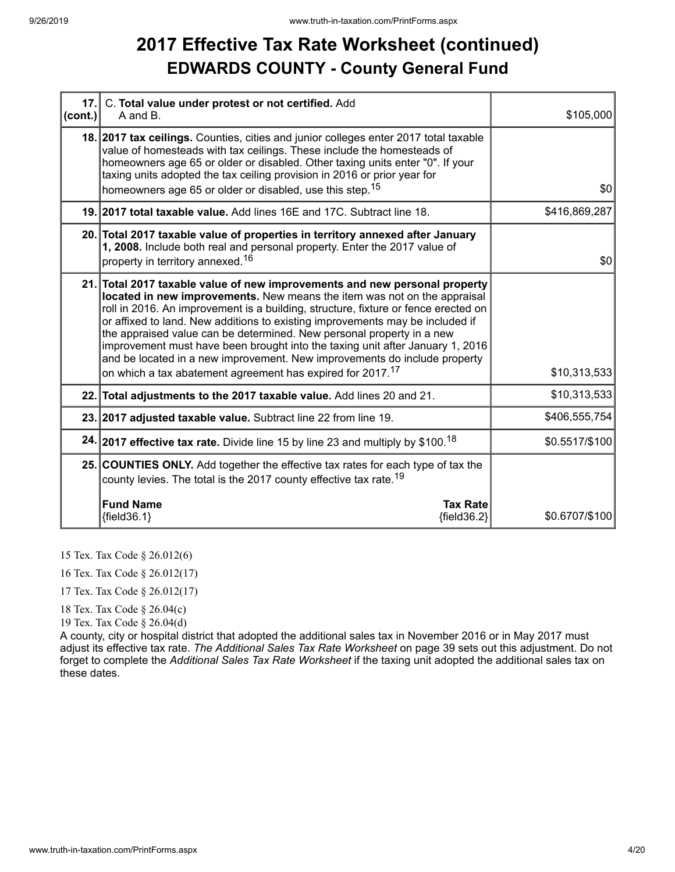### **2017 Effective Tax Rate Worksheet (continued) EDWARDS COUNTY - County General Fund**

| $ cont. \rangle$ | 17. C. Total value under protest or not certified. Add<br>A and B.                                                                                                                                                                                                                                                                                                                                                                                                                                                                                                                                                                             | \$105,000      |
|------------------|------------------------------------------------------------------------------------------------------------------------------------------------------------------------------------------------------------------------------------------------------------------------------------------------------------------------------------------------------------------------------------------------------------------------------------------------------------------------------------------------------------------------------------------------------------------------------------------------------------------------------------------------|----------------|
|                  | 18. 2017 tax ceilings. Counties, cities and junior colleges enter 2017 total taxable<br>value of homesteads with tax ceilings. These include the homesteads of<br>homeowners age 65 or older or disabled. Other taxing units enter "0". If your<br>taxing units adopted the tax ceiling provision in 2016 or prior year for<br>homeowners age 65 or older or disabled, use this step. <sup>15</sup>                                                                                                                                                                                                                                            | \$0            |
|                  | 19. 2017 total taxable value. Add lines 16E and 17C. Subtract line 18.                                                                                                                                                                                                                                                                                                                                                                                                                                                                                                                                                                         | \$416,869,287  |
|                  | 20. Total 2017 taxable value of properties in territory annexed after January<br>1, 2008. Include both real and personal property. Enter the 2017 value of<br>property in territory annexed. <sup>16</sup>                                                                                                                                                                                                                                                                                                                                                                                                                                     | \$0            |
|                  | 21. Total 2017 taxable value of new improvements and new personal property<br>located in new improvements. New means the item was not on the appraisal<br>roll in 2016. An improvement is a building, structure, fixture or fence erected on<br>or affixed to land. New additions to existing improvements may be included if<br>the appraised value can be determined. New personal property in a new<br>improvement must have been brought into the taxing unit after January 1, 2016<br>and be located in a new improvement. New improvements do include property<br>on which a tax abatement agreement has expired for 2017. <sup>17</sup> | \$10,313,533   |
|                  | 22. Total adjustments to the 2017 taxable value. Add lines 20 and 21.                                                                                                                                                                                                                                                                                                                                                                                                                                                                                                                                                                          | \$10,313,533   |
|                  | 23. 2017 adjusted taxable value. Subtract line 22 from line 19.                                                                                                                                                                                                                                                                                                                                                                                                                                                                                                                                                                                | \$406,555,754  |
|                  | 24. 2017 effective tax rate. Divide line 15 by line 23 and multiply by \$100. <sup>18</sup>                                                                                                                                                                                                                                                                                                                                                                                                                                                                                                                                                    | \$0.5517/\$100 |
|                  | 25. COUNTIES ONLY. Add together the effective tax rates for each type of tax the<br>county levies. The total is the 2017 county effective tax rate. <sup>19</sup>                                                                                                                                                                                                                                                                                                                                                                                                                                                                              |                |
|                  | <b>Fund Name</b><br><b>Tax Rate</b><br>${fields.1}$<br>${fields2}$                                                                                                                                                                                                                                                                                                                                                                                                                                                                                                                                                                             | \$0.6707/\$100 |

15 Tex. Tax Code § 26.012(6)

16 Tex. Tax Code § 26.012(17)

17 Tex. Tax Code § 26.012(17)

18 Tex. Tax Code § 26.04(c)

19 Tex. Tax Code § 26.04(d)

A county, city or hospital district that adopted the additional sales tax in November 2016 or in May 2017 must adjust its effective tax rate. *The Additional Sales Tax Rate Worksheet* on page 39 sets out this adjustment. Do not forget to complete the *Additional Sales Tax Rate Worksheet* if the taxing unit adopted the additional sales tax on these dates.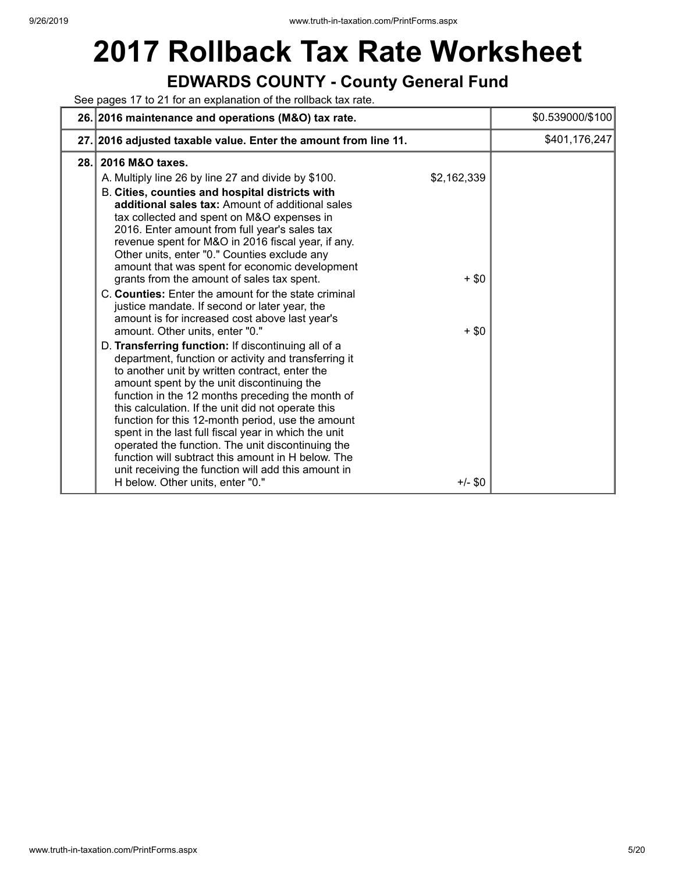# **2017 Rollback Tax Rate Worksheet**

### **EDWARDS COUNTY - County General Fund**

See pages 17 to 21 for an explanation of the rollback tax rate.

|      | 26. 2016 maintenance and operations (M&O) tax rate.                                                                                                                                                                                                                                                                                                                                                                                                                                                                                                                                                                                                                                                                                                                                                                                                                                                                                                                                                                                                                                                                                                                                                                                                                                                                          |                                                | \$0.539000/\$100 |
|------|------------------------------------------------------------------------------------------------------------------------------------------------------------------------------------------------------------------------------------------------------------------------------------------------------------------------------------------------------------------------------------------------------------------------------------------------------------------------------------------------------------------------------------------------------------------------------------------------------------------------------------------------------------------------------------------------------------------------------------------------------------------------------------------------------------------------------------------------------------------------------------------------------------------------------------------------------------------------------------------------------------------------------------------------------------------------------------------------------------------------------------------------------------------------------------------------------------------------------------------------------------------------------------------------------------------------------|------------------------------------------------|------------------|
|      | 27. 2016 adjusted taxable value. Enter the amount from line 11.                                                                                                                                                                                                                                                                                                                                                                                                                                                                                                                                                                                                                                                                                                                                                                                                                                                                                                                                                                                                                                                                                                                                                                                                                                                              |                                                | \$401,176,247    |
| 28.1 | 2016 M&O taxes.<br>A. Multiply line 26 by line 27 and divide by \$100.<br>B. Cities, counties and hospital districts with<br>additional sales tax: Amount of additional sales<br>tax collected and spent on M&O expenses in<br>2016. Enter amount from full year's sales tax<br>revenue spent for M&O in 2016 fiscal year, if any.<br>Other units, enter "0." Counties exclude any<br>amount that was spent for economic development<br>grants from the amount of sales tax spent.<br>C. Counties: Enter the amount for the state criminal<br>justice mandate. If second or later year, the<br>amount is for increased cost above last year's<br>amount. Other units, enter "0."<br>D. Transferring function: If discontinuing all of a<br>department, function or activity and transferring it<br>to another unit by written contract, enter the<br>amount spent by the unit discontinuing the<br>function in the 12 months preceding the month of<br>this calculation. If the unit did not operate this<br>function for this 12-month period, use the amount<br>spent in the last full fiscal year in which the unit<br>operated the function. The unit discontinuing the<br>function will subtract this amount in H below. The<br>unit receiving the function will add this amount in<br>H below. Other units, enter "0." | \$2,162,339<br>$+$ \$0<br>$+$ \$0<br>$+/-$ \$0 |                  |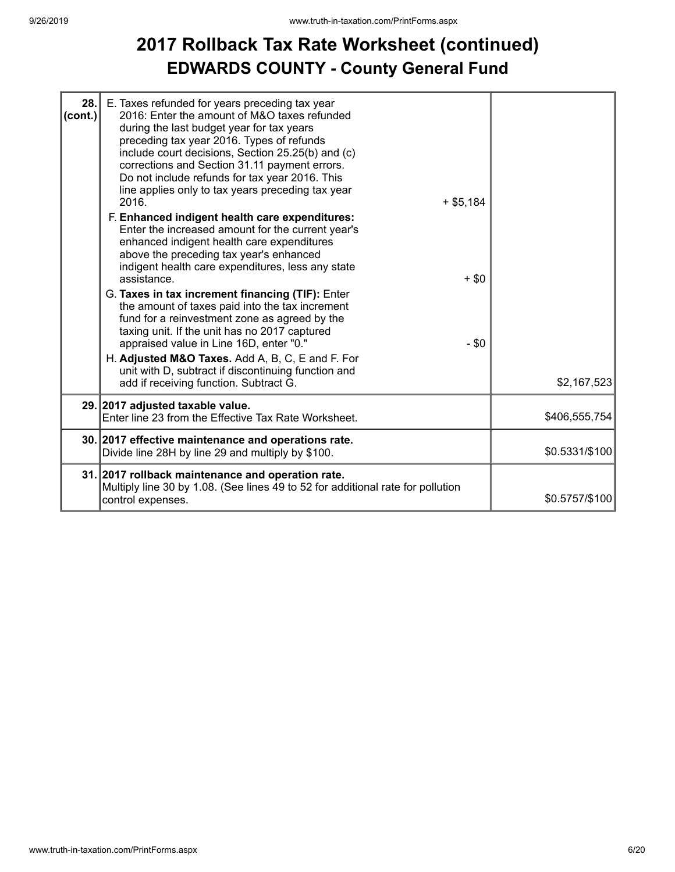### **2017 Rollback Tax Rate Worksheet (continued) EDWARDS COUNTY - County General Fund**

| 28.<br>(cont.) | E. Taxes refunded for years preceding tax year<br>2016: Enter the amount of M&O taxes refunded<br>during the last budget year for tax years<br>preceding tax year 2016. Types of refunds<br>include court decisions, Section 25.25(b) and (c)<br>corrections and Section 31.11 payment errors.<br>Do not include refunds for tax year 2016. This<br>line applies only to tax years preceding tax year<br>$+$ \$5,184<br>2016.<br>F. Enhanced indigent health care expenditures:<br>Enter the increased amount for the current year's<br>enhanced indigent health care expenditures<br>above the preceding tax year's enhanced<br>indigent health care expenditures, less any state<br>assistance.<br>G. Taxes in tax increment financing (TIF): Enter<br>the amount of taxes paid into the tax increment<br>fund for a reinvestment zone as agreed by the<br>taxing unit. If the unit has no 2017 captured<br>appraised value in Line 16D, enter "0."<br>H. Adjusted M&O Taxes. Add A, B, C, E and F. For<br>unit with D, subtract if discontinuing function and | $+$ \$0<br>$-$ \$0 |                |
|----------------|------------------------------------------------------------------------------------------------------------------------------------------------------------------------------------------------------------------------------------------------------------------------------------------------------------------------------------------------------------------------------------------------------------------------------------------------------------------------------------------------------------------------------------------------------------------------------------------------------------------------------------------------------------------------------------------------------------------------------------------------------------------------------------------------------------------------------------------------------------------------------------------------------------------------------------------------------------------------------------------------------------------------------------------------------------------|--------------------|----------------|
|                | add if receiving function. Subtract G.                                                                                                                                                                                                                                                                                                                                                                                                                                                                                                                                                                                                                                                                                                                                                                                                                                                                                                                                                                                                                           |                    | \$2,167,523    |
|                | 29. 2017 adjusted taxable value.<br>Enter line 23 from the Effective Tax Rate Worksheet.                                                                                                                                                                                                                                                                                                                                                                                                                                                                                                                                                                                                                                                                                                                                                                                                                                                                                                                                                                         |                    | \$406,555,754  |
|                | 30. 2017 effective maintenance and operations rate.<br>Divide line 28H by line 29 and multiply by \$100.                                                                                                                                                                                                                                                                                                                                                                                                                                                                                                                                                                                                                                                                                                                                                                                                                                                                                                                                                         |                    | \$0.5331/\$100 |
|                | 31. 2017 rollback maintenance and operation rate.<br>Multiply line 30 by 1.08. (See lines 49 to 52 for additional rate for pollution<br>control expenses.                                                                                                                                                                                                                                                                                                                                                                                                                                                                                                                                                                                                                                                                                                                                                                                                                                                                                                        |                    | \$0.5757/\$100 |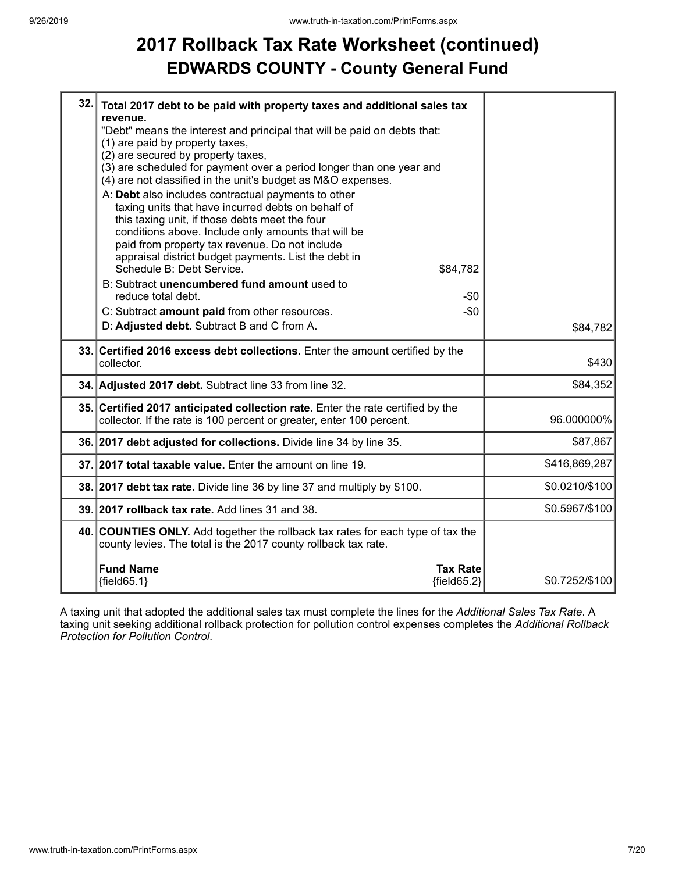## **2017 Rollback Tax Rate Worksheet (continued) EDWARDS COUNTY - County General Fund**

| 32. | Total 2017 debt to be paid with property taxes and additional sales tax<br>revenue.<br>"Debt" means the interest and principal that will be paid on debts that:                                                                                                                                                                                                       |                |
|-----|-----------------------------------------------------------------------------------------------------------------------------------------------------------------------------------------------------------------------------------------------------------------------------------------------------------------------------------------------------------------------|----------------|
|     | (1) are paid by property taxes,<br>(2) are secured by property taxes,<br>(3) are scheduled for payment over a period longer than one year and<br>(4) are not classified in the unit's budget as M&O expenses.                                                                                                                                                         |                |
|     | A: Debt also includes contractual payments to other<br>taxing units that have incurred debts on behalf of<br>this taxing unit, if those debts meet the four<br>conditions above. Include only amounts that will be<br>paid from property tax revenue. Do not include<br>appraisal district budget payments. List the debt in<br>Schedule B: Debt Service.<br>\$84,782 |                |
|     | B: Subtract unencumbered fund amount used to<br>reduce total debt.<br>-\$0                                                                                                                                                                                                                                                                                            |                |
|     | $-\$0$<br>C: Subtract amount paid from other resources.                                                                                                                                                                                                                                                                                                               |                |
|     | D: Adjusted debt. Subtract B and C from A.                                                                                                                                                                                                                                                                                                                            | \$84,782       |
|     | 33. Certified 2016 excess debt collections. Enter the amount certified by the<br>collector.                                                                                                                                                                                                                                                                           | \$430          |
|     | 34. Adjusted 2017 debt. Subtract line 33 from line 32.                                                                                                                                                                                                                                                                                                                | \$84,352       |
|     | 35. Certified 2017 anticipated collection rate. Enter the rate certified by the<br>collector. If the rate is 100 percent or greater, enter 100 percent.                                                                                                                                                                                                               | 96.000000%     |
|     | 36. 2017 debt adjusted for collections. Divide line 34 by line 35.                                                                                                                                                                                                                                                                                                    | \$87,867       |
|     | 37. 2017 total taxable value. Enter the amount on line 19.                                                                                                                                                                                                                                                                                                            | \$416,869,287  |
|     |                                                                                                                                                                                                                                                                                                                                                                       |                |
|     | 38. 2017 debt tax rate. Divide line 36 by line 37 and multiply by \$100.                                                                                                                                                                                                                                                                                              | \$0.0210/\$100 |
|     | 39. 2017 rollback tax rate. Add lines 31 and 38.                                                                                                                                                                                                                                                                                                                      | \$0.5967/\$100 |
|     | 40. COUNTIES ONLY. Add together the rollback tax rates for each type of tax the<br>county levies. The total is the 2017 county rollback tax rate.                                                                                                                                                                                                                     |                |

A taxing unit that adopted the additional sales tax must complete the lines for the *Additional Sales Tax Rate*. A taxing unit seeking additional rollback protection for pollution control expenses completes the *Additional Rollback Protection for Pollution Control*.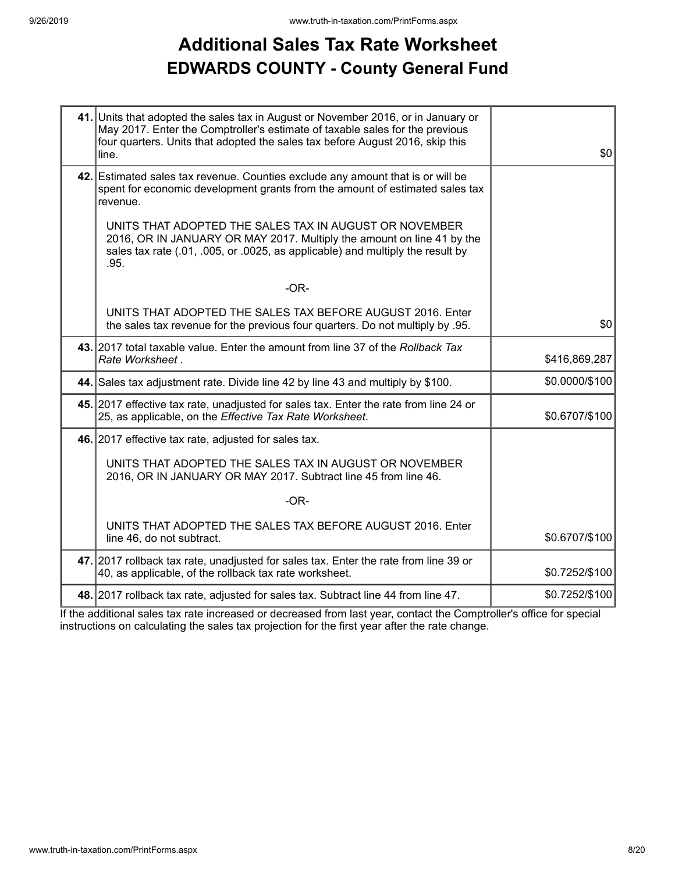### **Additional Sales Tax Rate Worksheet EDWARDS COUNTY - County General Fund**

| 41. Units that adopted the sales tax in August or November 2016, or in January or<br>May 2017. Enter the Comptroller's estimate of taxable sales for the previous<br>four quarters. Units that adopted the sales tax before August 2016, skip this<br>line. | \$0            |
|-------------------------------------------------------------------------------------------------------------------------------------------------------------------------------------------------------------------------------------------------------------|----------------|
| 42. Estimated sales tax revenue. Counties exclude any amount that is or will be<br>spent for economic development grants from the amount of estimated sales tax<br>revenue.                                                                                 |                |
| UNITS THAT ADOPTED THE SALES TAX IN AUGUST OR NOVEMBER<br>2016, OR IN JANUARY OR MAY 2017. Multiply the amount on line 41 by the<br>sales tax rate (.01, .005, or .0025, as applicable) and multiply the result by<br>.95.                                  |                |
| $-OR-$                                                                                                                                                                                                                                                      |                |
| UNITS THAT ADOPTED THE SALES TAX BEFORE AUGUST 2016. Enter<br>the sales tax revenue for the previous four quarters. Do not multiply by .95.                                                                                                                 | \$0            |
| 43. 2017 total taxable value. Enter the amount from line 37 of the Rollback Tax<br>Rate Worksheet.                                                                                                                                                          | \$416,869,287  |
| 44. Sales tax adjustment rate. Divide line 42 by line 43 and multiply by \$100.                                                                                                                                                                             | \$0.0000/\$100 |
| 45. 2017 effective tax rate, unadjusted for sales tax. Enter the rate from line 24 or<br>25, as applicable, on the Effective Tax Rate Worksheet.                                                                                                            | \$0.6707/\$100 |
| 46. 2017 effective tax rate, adjusted for sales tax.                                                                                                                                                                                                        |                |
| UNITS THAT ADOPTED THE SALES TAX IN AUGUST OR NOVEMBER<br>2016, OR IN JANUARY OR MAY 2017. Subtract line 45 from line 46.                                                                                                                                   |                |
| $-OR-$                                                                                                                                                                                                                                                      |                |
| UNITS THAT ADOPTED THE SALES TAX BEFORE AUGUST 2016. Enter<br>line 46, do not subtract.                                                                                                                                                                     | \$0.6707/\$100 |
| 47. 2017 rollback tax rate, unadjusted for sales tax. Enter the rate from line 39 or<br>40, as applicable, of the rollback tax rate worksheet.                                                                                                              | \$0.7252/\$100 |
| 48. 2017 rollback tax rate, adjusted for sales tax. Subtract line 44 from line 47.                                                                                                                                                                          | \$0.7252/\$100 |

If the additional sales tax rate increased or decreased from last year, contact the Comptroller's office for special instructions on calculating the sales tax projection for the first year after the rate change.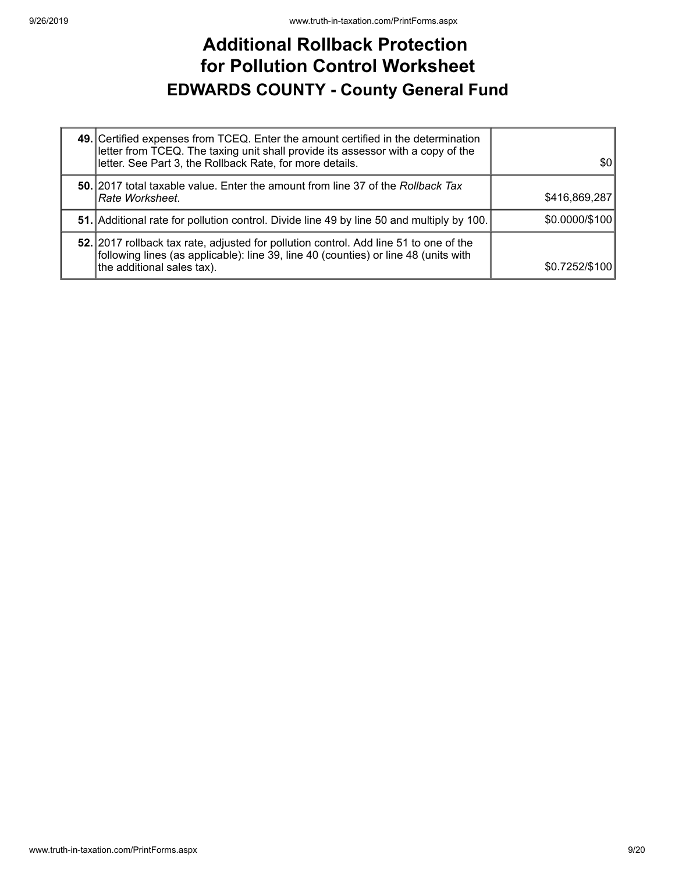### **Additional Rollback Protection for Pollution Control Worksheet EDWARDS COUNTY - County General Fund**

| 49. Certified expenses from TCEQ. Enter the amount certified in the determination<br>letter from TCEQ. The taxing unit shall provide its assessor with a copy of the<br>letter. See Part 3, the Rollback Rate, for more details. | 30             |
|----------------------------------------------------------------------------------------------------------------------------------------------------------------------------------------------------------------------------------|----------------|
| <b>50.</b> 2017 total taxable value. Enter the amount from line 37 of the Rollback Tax<br>Rate Worksheet.                                                                                                                        | \$416,869,287  |
| 51. Additional rate for pollution control. Divide line 49 by line 50 and multiply by 100.                                                                                                                                        | \$0.0000/\$100 |
| 52. 2017 rollback tax rate, adjusted for pollution control. Add line 51 to one of the<br>following lines (as applicable): line 39, line 40 (counties) or line 48 (units with<br>the additional sales tax).                       | \$0.7252/\$100 |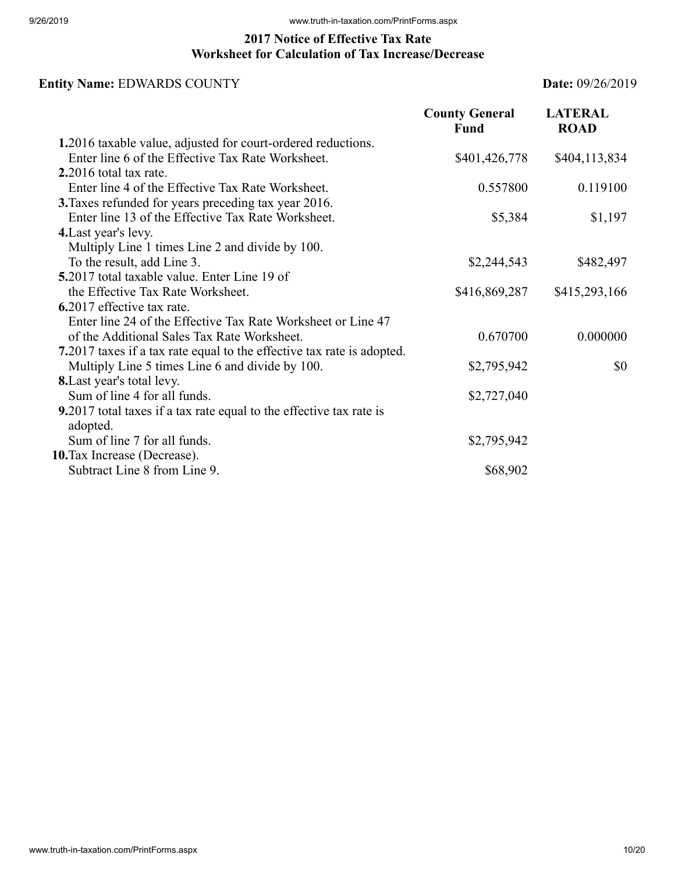#### **2017 Notice of Effective Tax Rate Worksheet for Calculation of Tax Increase/Decrease**

### **Entity Name:** EDWARDS COUNTY **Date:** 09/26/2019

|                                                                                 | <b>County General</b><br><b>Fund</b> | <b>LATERAL</b><br><b>ROAD</b> |
|---------------------------------------------------------------------------------|--------------------------------------|-------------------------------|
| 1.2016 taxable value, adjusted for court-ordered reductions.                    |                                      |                               |
| Enter line 6 of the Effective Tax Rate Worksheet.                               | \$401,426,778                        | \$404,113,834                 |
| 2.2016 total tax rate.                                                          |                                      |                               |
| Enter line 4 of the Effective Tax Rate Worksheet.                               | 0.557800                             | 0.119100                      |
| 3. Taxes refunded for years preceding tax year 2016.                            |                                      |                               |
| Enter line 13 of the Effective Tax Rate Worksheet.                              | \$5,384                              | \$1,197                       |
| 4. Last year's levy.                                                            |                                      |                               |
| Multiply Line 1 times Line 2 and divide by 100.                                 |                                      |                               |
| To the result, add Line 3.                                                      | \$2,244,543                          | \$482,497                     |
| 5.2017 total taxable value. Enter Line 19 of                                    |                                      |                               |
| the Effective Tax Rate Worksheet.                                               | \$416,869,287                        | \$415,293,166                 |
| 6.2017 effective tax rate.                                                      |                                      |                               |
| Enter line 24 of the Effective Tax Rate Worksheet or Line 47                    |                                      |                               |
| of the Additional Sales Tax Rate Worksheet.                                     | 0.670700                             | 0.000000                      |
| 7.2017 taxes if a tax rate equal to the effective tax rate is adopted.          |                                      |                               |
| Multiply Line 5 times Line 6 and divide by 100.                                 | \$2,795,942                          | \$0                           |
| <b>8.</b> Last year's total levy.                                               |                                      |                               |
| Sum of line 4 for all funds.                                                    | \$2,727,040                          |                               |
| 9.2017 total taxes if a tax rate equal to the effective tax rate is<br>adopted. |                                      |                               |
| Sum of line 7 for all funds.                                                    | \$2,795,942                          |                               |
| 10. Tax Increase (Decrease).                                                    |                                      |                               |
| Subtract Line 8 from Line 9.                                                    | \$68,902                             |                               |
|                                                                                 |                                      |                               |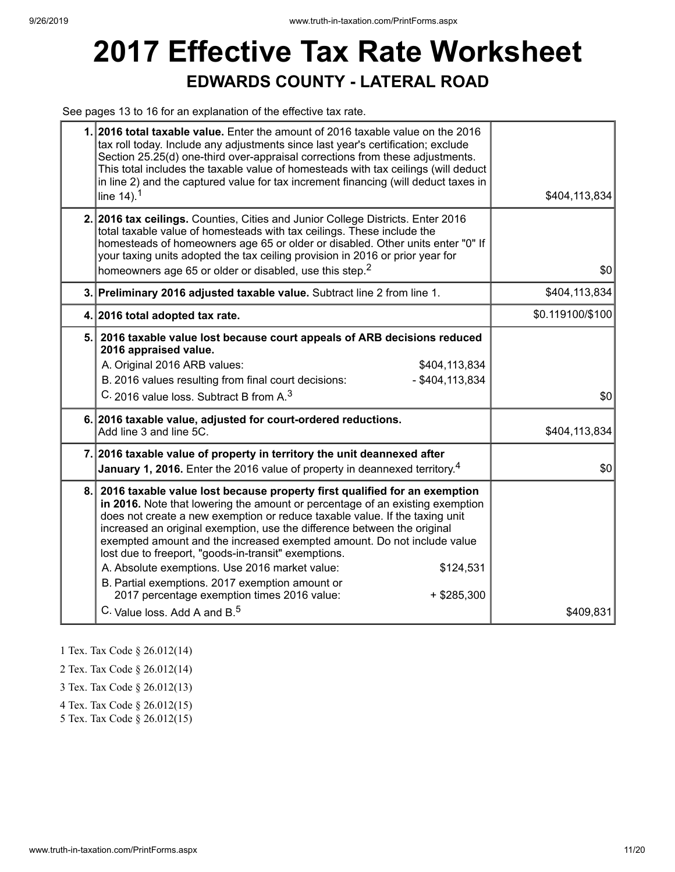# **2017 Effective Tax Rate Worksheet EDWARDS COUNTY - LATERAL ROAD**

See pages 13 to 16 for an explanation of the effective tax rate.

| tax roll today. Include any adjustments since last year's certification; exclude<br>Section 25.25(d) one-third over-appraisal corrections from these adjustments.<br>This total includes the taxable value of homesteads with tax ceilings (will deduct<br>in line 2) and the captured value for tax increment financing (will deduct taxes in<br>line $14$ ). <sup>1</sup>                                                                                                                                                                                                                                                                | \$404,113,834                                                                                                                                                                                                                                                                                                                                                                                                                                                                                                                                                |
|--------------------------------------------------------------------------------------------------------------------------------------------------------------------------------------------------------------------------------------------------------------------------------------------------------------------------------------------------------------------------------------------------------------------------------------------------------------------------------------------------------------------------------------------------------------------------------------------------------------------------------------------|--------------------------------------------------------------------------------------------------------------------------------------------------------------------------------------------------------------------------------------------------------------------------------------------------------------------------------------------------------------------------------------------------------------------------------------------------------------------------------------------------------------------------------------------------------------|
| total taxable value of homesteads with tax ceilings. These include the<br>homesteads of homeowners age 65 or older or disabled. Other units enter "0" If<br>your taxing units adopted the tax ceiling provision in 2016 or prior year for<br>homeowners age 65 or older or disabled, use this step. <sup>2</sup>                                                                                                                                                                                                                                                                                                                           | \$0                                                                                                                                                                                                                                                                                                                                                                                                                                                                                                                                                          |
|                                                                                                                                                                                                                                                                                                                                                                                                                                                                                                                                                                                                                                            | \$404,113,834                                                                                                                                                                                                                                                                                                                                                                                                                                                                                                                                                |
|                                                                                                                                                                                                                                                                                                                                                                                                                                                                                                                                                                                                                                            | \$0.119100/\$100                                                                                                                                                                                                                                                                                                                                                                                                                                                                                                                                             |
| 2016 appraised value.<br>A. Original 2016 ARB values:<br>\$404,113,834<br>B. 2016 values resulting from final court decisions:<br>$-$ \$404,113,834<br>C. 2016 value loss. Subtract B from A. <sup>3</sup>                                                                                                                                                                                                                                                                                                                                                                                                                                 | \$0                                                                                                                                                                                                                                                                                                                                                                                                                                                                                                                                                          |
| Add line 3 and line 5C.                                                                                                                                                                                                                                                                                                                                                                                                                                                                                                                                                                                                                    | \$404,113,834                                                                                                                                                                                                                                                                                                                                                                                                                                                                                                                                                |
| January 1, 2016. Enter the 2016 value of property in deannexed territory. <sup>4</sup>                                                                                                                                                                                                                                                                                                                                                                                                                                                                                                                                                     | \$0                                                                                                                                                                                                                                                                                                                                                                                                                                                                                                                                                          |
| 2016 taxable value lost because property first qualified for an exemption<br>in 2016. Note that lowering the amount or percentage of an existing exemption<br>does not create a new exemption or reduce taxable value. If the taxing unit<br>increased an original exemption, use the difference between the original<br>exempted amount and the increased exempted amount. Do not include value<br>lost due to freeport, "goods-in-transit" exemptions.<br>A. Absolute exemptions. Use 2016 market value:<br>\$124,531<br>B. Partial exemptions. 2017 exemption amount or<br>2017 percentage exemption times 2016 value:<br>$+$ \$285,300 | \$409,831                                                                                                                                                                                                                                                                                                                                                                                                                                                                                                                                                    |
|                                                                                                                                                                                                                                                                                                                                                                                                                                                                                                                                                                                                                                            | 1. 2016 total taxable value. Enter the amount of 2016 taxable value on the 2016<br>2. 2016 tax ceilings. Counties, Cities and Junior College Districts. Enter 2016<br>3. Preliminary 2016 adjusted taxable value. Subtract line 2 from line 1.<br>4. 2016 total adopted tax rate.<br>5. 2016 taxable value lost because court appeals of ARB decisions reduced<br>6. 2016 taxable value, adjusted for court-ordered reductions.<br>7. 2016 taxable value of property in territory the unit deannexed after<br>8.<br>C. Value loss. Add A and B. <sup>5</sup> |

1 Tex. Tax Code § 26.012(14)

2 Tex. Tax Code § 26.012(14)

3 Tex. Tax Code § 26.012(13)

4 Tex. Tax Code § 26.012(15)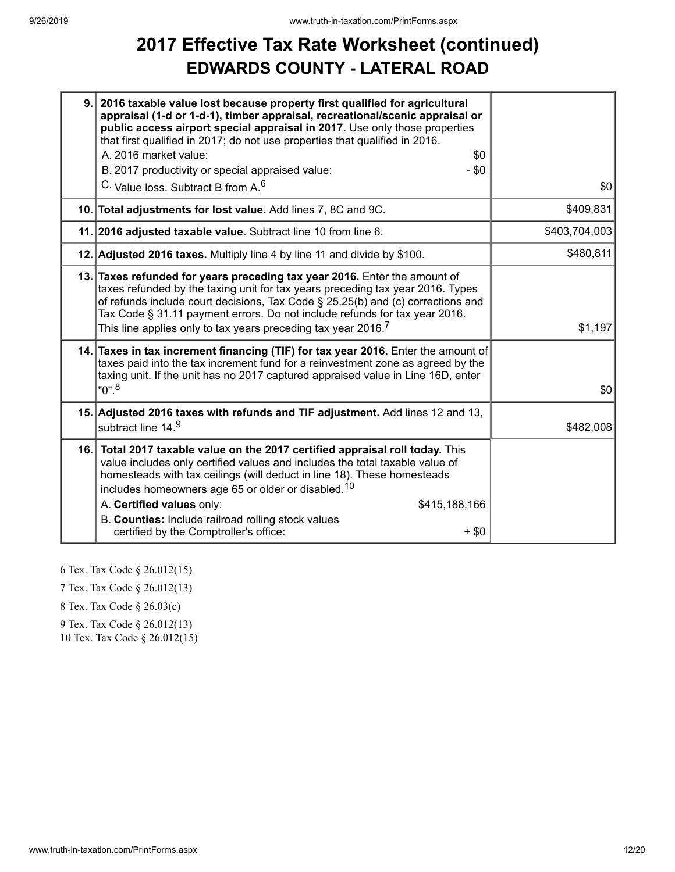### **2017 Effective Tax Rate Worksheet (continued) EDWARDS COUNTY - LATERAL ROAD**

| 9. | 2016 taxable value lost because property first qualified for agricultural<br>appraisal (1-d or 1-d-1), timber appraisal, recreational/scenic appraisal or<br>public access airport special appraisal in 2017. Use only those properties<br>that first qualified in 2017; do not use properties that qualified in 2016.<br>A. 2016 market value:<br>\$0<br>$-$ \$0<br>B. 2017 productivity or special appraised value:<br>C. Value loss. Subtract B from A. <sup>6</sup> | \$0           |
|----|-------------------------------------------------------------------------------------------------------------------------------------------------------------------------------------------------------------------------------------------------------------------------------------------------------------------------------------------------------------------------------------------------------------------------------------------------------------------------|---------------|
|    | 10. Total adjustments for lost value. Add lines 7, 8C and 9C.                                                                                                                                                                                                                                                                                                                                                                                                           | \$409,831     |
|    | 11. 2016 adjusted taxable value. Subtract line 10 from line 6.                                                                                                                                                                                                                                                                                                                                                                                                          | \$403,704,003 |
|    | 12. Adjusted 2016 taxes. Multiply line 4 by line 11 and divide by \$100.                                                                                                                                                                                                                                                                                                                                                                                                | \$480,811     |
|    | 13. Taxes refunded for years preceding tax year 2016. Enter the amount of<br>taxes refunded by the taxing unit for tax years preceding tax year 2016. Types<br>of refunds include court decisions, Tax Code § 25.25(b) and (c) corrections and<br>Tax Code § 31.11 payment errors. Do not include refunds for tax year 2016.<br>This line applies only to tax years preceding tax year 2016. $^7\,$                                                                     | \$1,197       |
|    | 14. Taxes in tax increment financing (TIF) for tax year 2016. Enter the amount of<br>taxes paid into the tax increment fund for a reinvestment zone as agreed by the<br>taxing unit. If the unit has no 2017 captured appraised value in Line 16D, enter<br>"0". <sup>8</sup>                                                                                                                                                                                           | \$0           |
|    | 15. Adjusted 2016 taxes with refunds and TIF adjustment. Add lines 12 and 13,<br>subtract line 14.9                                                                                                                                                                                                                                                                                                                                                                     | \$482,008     |
|    | 16. Total 2017 taxable value on the 2017 certified appraisal roll today. This<br>value includes only certified values and includes the total taxable value of<br>homesteads with tax ceilings (will deduct in line 18). These homesteads<br>includes homeowners age 65 or older or disabled. <sup>10</sup><br>A. Certified values only:<br>\$415,188,166<br>B. Counties: Include railroad rolling stock values<br>certified by the Comptroller's office:<br>$+$ \$0     |               |

6 Tex. Tax Code § 26.012(15)

7 Tex. Tax Code § 26.012(13)

8 Tex. Tax Code § 26.03(c)

9 Tex. Tax Code § 26.012(13)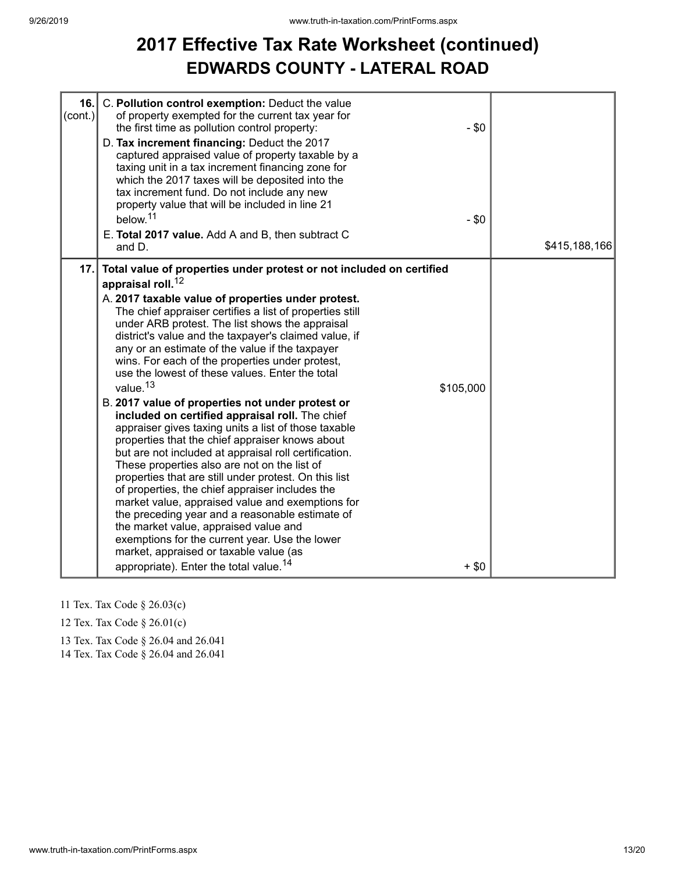## **2017 Effective Tax Rate Worksheet (continued) EDWARDS COUNTY - LATERAL ROAD**

| 16.<br>$\text{(cont.)}$ | C. Pollution control exemption: Deduct the value<br>of property exempted for the current tax year for<br>the first time as pollution control property:<br>D. Tax increment financing: Deduct the 2017<br>captured appraised value of property taxable by a<br>taxing unit in a tax increment financing zone for<br>which the 2017 taxes will be deposited into the<br>tax increment fund. Do not include any new<br>property value that will be included in line 21<br>below. <sup>11</sup><br>E. Total 2017 value. Add A and B, then subtract C<br>and D.                                                                                                                                                                                                                                                                                                                                                                                                                                                                                                                                                                                                                                                                                                    | $-$ \$0<br>$-$ \$0   | \$415,188,166 |
|-------------------------|---------------------------------------------------------------------------------------------------------------------------------------------------------------------------------------------------------------------------------------------------------------------------------------------------------------------------------------------------------------------------------------------------------------------------------------------------------------------------------------------------------------------------------------------------------------------------------------------------------------------------------------------------------------------------------------------------------------------------------------------------------------------------------------------------------------------------------------------------------------------------------------------------------------------------------------------------------------------------------------------------------------------------------------------------------------------------------------------------------------------------------------------------------------------------------------------------------------------------------------------------------------|----------------------|---------------|
| 17.                     | Total value of properties under protest or not included on certified<br>appraisal roll. <sup>12</sup><br>A. 2017 taxable value of properties under protest.<br>The chief appraiser certifies a list of properties still<br>under ARB protest. The list shows the appraisal<br>district's value and the taxpayer's claimed value, if<br>any or an estimate of the value if the taxpayer<br>wins. For each of the properties under protest,<br>use the lowest of these values. Enter the total<br>value. <sup>13</sup><br>B. 2017 value of properties not under protest or<br>included on certified appraisal roll. The chief<br>appraiser gives taxing units a list of those taxable<br>properties that the chief appraiser knows about<br>but are not included at appraisal roll certification.<br>These properties also are not on the list of<br>properties that are still under protest. On this list<br>of properties, the chief appraiser includes the<br>market value, appraised value and exemptions for<br>the preceding year and a reasonable estimate of<br>the market value, appraised value and<br>exemptions for the current year. Use the lower<br>market, appraised or taxable value (as<br>appropriate). Enter the total value. <sup>14</sup> | \$105,000<br>$+$ \$0 |               |

- 11 Tex. Tax Code § 26.03(c)
- 12 Tex. Tax Code § 26.01(c)

13 Tex. Tax Code § 26.04 and 26.041

14 Tex. Tax Code § 26.04 and 26.041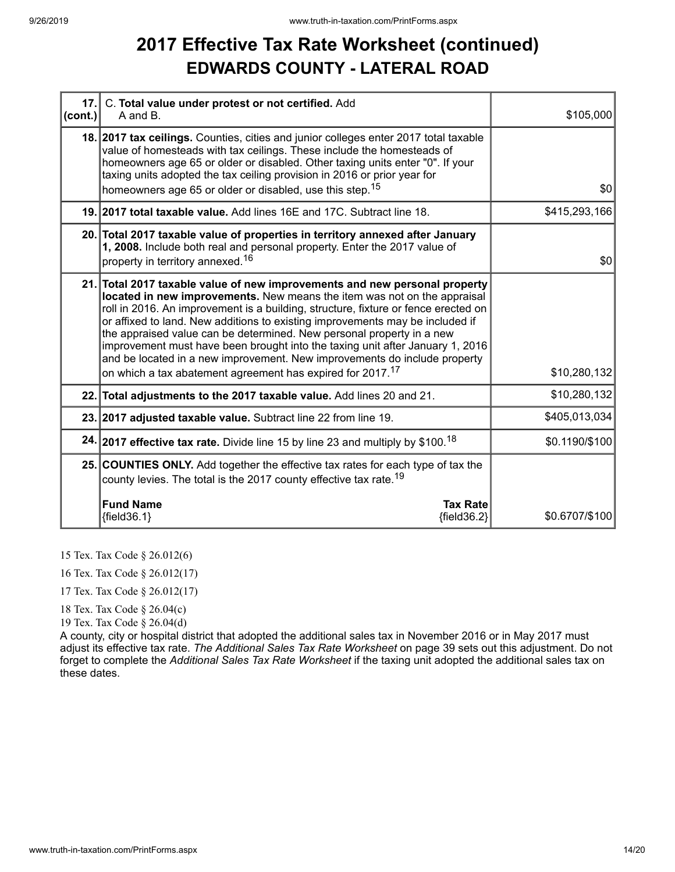### **2017 Effective Tax Rate Worksheet (continued) EDWARDS COUNTY - LATERAL ROAD**

| $ cont.$ ) | 17. C. Total value under protest or not certified. Add<br>A and B.                                                                                                                                                                                                                                                                                                                                                                                                                                                                                                                                                                             | \$105,000      |
|------------|------------------------------------------------------------------------------------------------------------------------------------------------------------------------------------------------------------------------------------------------------------------------------------------------------------------------------------------------------------------------------------------------------------------------------------------------------------------------------------------------------------------------------------------------------------------------------------------------------------------------------------------------|----------------|
|            | 18. 2017 tax ceilings. Counties, cities and junior colleges enter 2017 total taxable<br>value of homesteads with tax ceilings. These include the homesteads of<br>homeowners age 65 or older or disabled. Other taxing units enter "0". If your<br>taxing units adopted the tax ceiling provision in 2016 or prior year for<br>homeowners age 65 or older or disabled, use this step. <sup>15</sup>                                                                                                                                                                                                                                            | \$0            |
|            | 19. 2017 total taxable value. Add lines 16E and 17C. Subtract line 18.                                                                                                                                                                                                                                                                                                                                                                                                                                                                                                                                                                         | \$415,293,166  |
|            | 20. Total 2017 taxable value of properties in territory annexed after January<br>1, 2008. Include both real and personal property. Enter the 2017 value of<br>property in territory annexed. <sup>16</sup>                                                                                                                                                                                                                                                                                                                                                                                                                                     | \$0            |
|            | 21. Total 2017 taxable value of new improvements and new personal property<br>located in new improvements. New means the item was not on the appraisal<br>roll in 2016. An improvement is a building, structure, fixture or fence erected on<br>or affixed to land. New additions to existing improvements may be included if<br>the appraised value can be determined. New personal property in a new<br>improvement must have been brought into the taxing unit after January 1, 2016<br>and be located in a new improvement. New improvements do include property<br>on which a tax abatement agreement has expired for 2017. <sup>17</sup> | \$10,280,132   |
|            | 22. Total adjustments to the 2017 taxable value. Add lines 20 and 21.                                                                                                                                                                                                                                                                                                                                                                                                                                                                                                                                                                          | \$10,280,132   |
|            | 23. 2017 adjusted taxable value. Subtract line 22 from line 19.                                                                                                                                                                                                                                                                                                                                                                                                                                                                                                                                                                                | \$405,013,034  |
|            | 24. 2017 effective tax rate. Divide line 15 by line 23 and multiply by \$100. <sup>18</sup>                                                                                                                                                                                                                                                                                                                                                                                                                                                                                                                                                    | \$0.1190/\$100 |
|            | 25. COUNTIES ONLY. Add together the effective tax rates for each type of tax the<br>county levies. The total is the 2017 county effective tax rate. <sup>19</sup>                                                                                                                                                                                                                                                                                                                                                                                                                                                                              |                |
|            | <b>Fund Name</b><br><b>Tax Rate</b><br>${fields.1}$<br>${fields2}$                                                                                                                                                                                                                                                                                                                                                                                                                                                                                                                                                                             | \$0.6707/\$100 |

15 Tex. Tax Code § 26.012(6)

16 Tex. Tax Code § 26.012(17)

17 Tex. Tax Code § 26.012(17)

18 Tex. Tax Code § 26.04(c)

19 Tex. Tax Code § 26.04(d)

A county, city or hospital district that adopted the additional sales tax in November 2016 or in May 2017 must adjust its effective tax rate. *The Additional Sales Tax Rate Worksheet* on page 39 sets out this adjustment. Do not forget to complete the *Additional Sales Tax Rate Worksheet* if the taxing unit adopted the additional sales tax on these dates.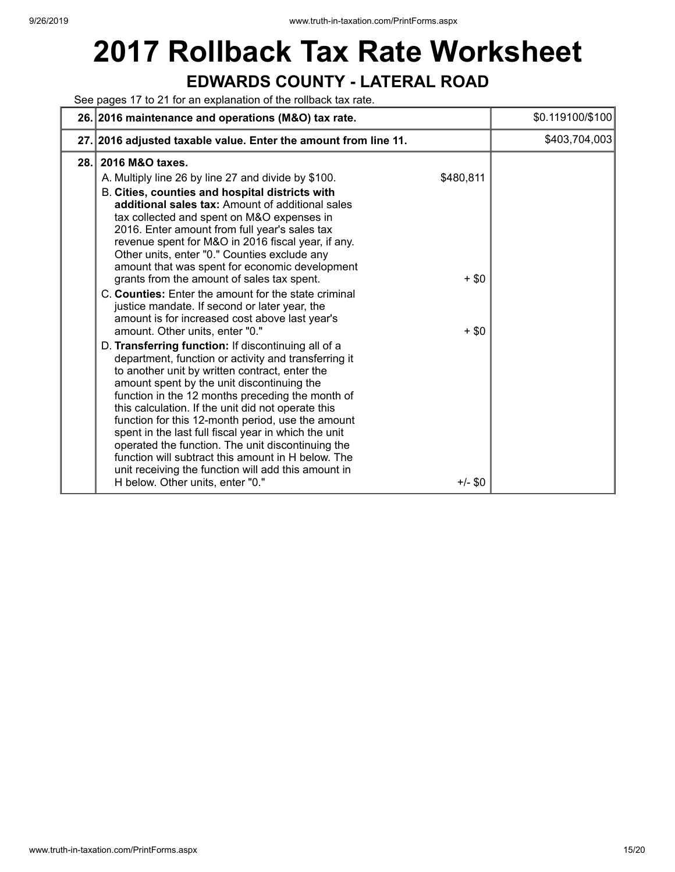# **2017 Rollback Tax Rate Worksheet EDWARDS COUNTY - LATERAL ROAD**

See pages 17 to 21 for an explanation of the rollback tax rate.

|      | 26. 2016 maintenance and operations (M&O) tax rate.                                                                                                                                                                                                                                                                                                                                                                                                                                                                                                                                                                                                                                                                                                                                                                                                                                                                                                                                                                                                                                                                                                                                                                                                                                                                                                                          | \$0.119100/\$100 |
|------|------------------------------------------------------------------------------------------------------------------------------------------------------------------------------------------------------------------------------------------------------------------------------------------------------------------------------------------------------------------------------------------------------------------------------------------------------------------------------------------------------------------------------------------------------------------------------------------------------------------------------------------------------------------------------------------------------------------------------------------------------------------------------------------------------------------------------------------------------------------------------------------------------------------------------------------------------------------------------------------------------------------------------------------------------------------------------------------------------------------------------------------------------------------------------------------------------------------------------------------------------------------------------------------------------------------------------------------------------------------------------|------------------|
|      | 27. 2016 adjusted taxable value. Enter the amount from line 11.                                                                                                                                                                                                                                                                                                                                                                                                                                                                                                                                                                                                                                                                                                                                                                                                                                                                                                                                                                                                                                                                                                                                                                                                                                                                                                              | \$403,704,003    |
| 28.1 | 2016 M&O taxes.<br>\$480,811<br>A. Multiply line 26 by line 27 and divide by \$100.<br>B. Cities, counties and hospital districts with<br>additional sales tax: Amount of additional sales<br>tax collected and spent on M&O expenses in<br>2016. Enter amount from full year's sales tax<br>revenue spent for M&O in 2016 fiscal year, if any.<br>Other units, enter "0." Counties exclude any<br>amount that was spent for economic development<br>grants from the amount of sales tax spent.<br>$+$ \$0<br>C. Counties: Enter the amount for the state criminal<br>justice mandate. If second or later year, the<br>amount is for increased cost above last year's<br>amount. Other units, enter "0."<br>$+$ \$0<br>D. Transferring function: If discontinuing all of a<br>department, function or activity and transferring it<br>to another unit by written contract, enter the<br>amount spent by the unit discontinuing the<br>function in the 12 months preceding the month of<br>this calculation. If the unit did not operate this<br>function for this 12-month period, use the amount<br>spent in the last full fiscal year in which the unit<br>operated the function. The unit discontinuing the<br>function will subtract this amount in H below. The<br>unit receiving the function will add this amount in<br>H below. Other units, enter "0."<br>$+/-$ \$0 |                  |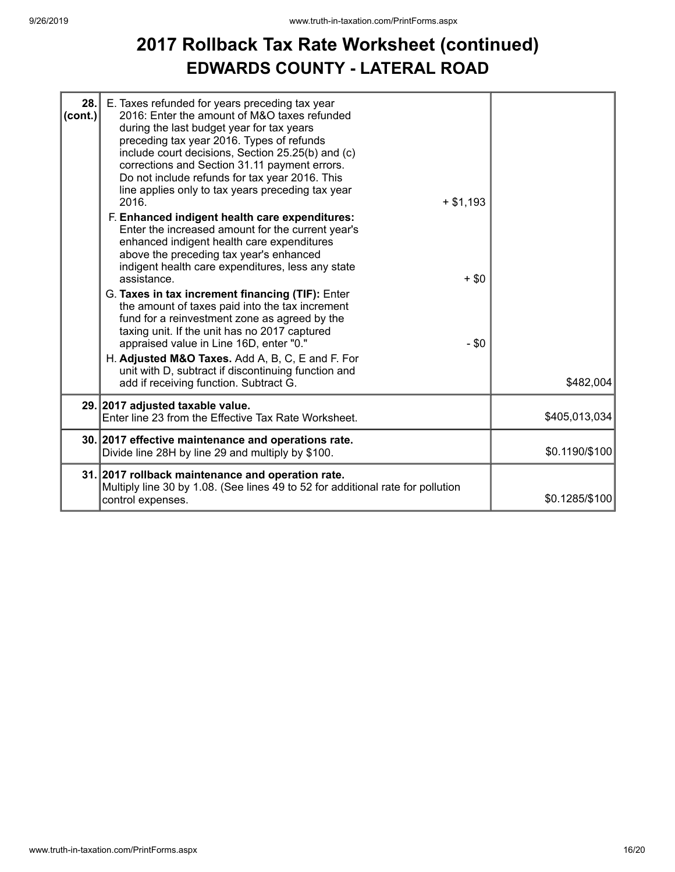### **2017 Rollback Tax Rate Worksheet (continued) EDWARDS COUNTY - LATERAL ROAD**

| 28.<br>(cont.) | E. Taxes refunded for years preceding tax year<br>2016: Enter the amount of M&O taxes refunded<br>during the last budget year for tax years                                                                                                                                   |         |                |
|----------------|-------------------------------------------------------------------------------------------------------------------------------------------------------------------------------------------------------------------------------------------------------------------------------|---------|----------------|
|                | preceding tax year 2016. Types of refunds<br>include court decisions, Section 25.25(b) and (c)<br>corrections and Section 31.11 payment errors.<br>Do not include refunds for tax year 2016. This<br>line applies only to tax years preceding tax year<br>2016.<br>$+ $1,193$ |         |                |
|                | F. Enhanced indigent health care expenditures:<br>Enter the increased amount for the current year's<br>enhanced indigent health care expenditures<br>above the preceding tax year's enhanced<br>indigent health care expenditures, less any state<br>assistance.              | $+$ \$0 |                |
|                | G. Taxes in tax increment financing (TIF): Enter<br>the amount of taxes paid into the tax increment<br>fund for a reinvestment zone as agreed by the<br>taxing unit. If the unit has no 2017 captured<br>appraised value in Line 16D, enter "0."                              | $-$ \$0 |                |
|                | H. Adjusted M&O Taxes. Add A, B, C, E and F. For<br>unit with D, subtract if discontinuing function and<br>add if receiving function. Subtract G.                                                                                                                             |         | \$482,004      |
|                | 29. 2017 adjusted taxable value.<br>Enter line 23 from the Effective Tax Rate Worksheet.                                                                                                                                                                                      |         | \$405,013,034  |
|                | 30. 2017 effective maintenance and operations rate.<br>Divide line 28H by line 29 and multiply by \$100.                                                                                                                                                                      |         | \$0.1190/\$100 |
|                | 31. 2017 rollback maintenance and operation rate.<br>Multiply line 30 by 1.08. (See lines 49 to 52 for additional rate for pollution<br>control expenses.                                                                                                                     |         | \$0.1285/\$100 |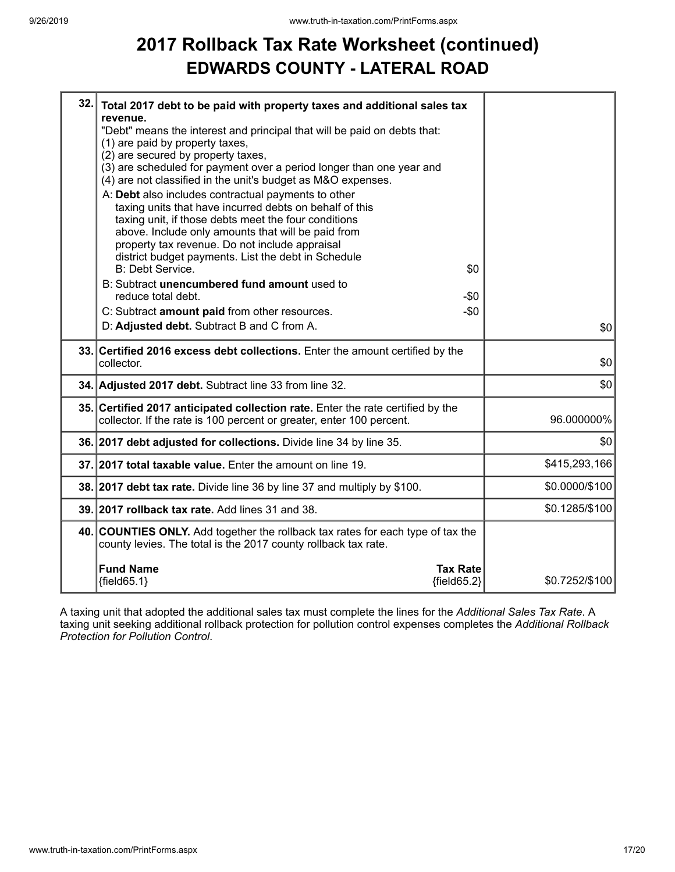### **2017 Rollback Tax Rate Worksheet (continued) EDWARDS COUNTY - LATERAL ROAD**

| 32. | Total 2017 debt to be paid with property taxes and additional sales tax                                                                           |                |
|-----|---------------------------------------------------------------------------------------------------------------------------------------------------|----------------|
|     | revenue.<br>"Debt" means the interest and principal that will be paid on debts that:                                                              |                |
|     | (1) are paid by property taxes,                                                                                                                   |                |
|     | (2) are secured by property taxes,                                                                                                                |                |
|     | (3) are scheduled for payment over a period longer than one year and                                                                              |                |
|     | (4) are not classified in the unit's budget as M&O expenses.                                                                                      |                |
|     | A: Debt also includes contractual payments to other<br>taxing units that have incurred debts on behalf of this                                    |                |
|     | taxing unit, if those debts meet the four conditions                                                                                              |                |
|     | above. Include only amounts that will be paid from                                                                                                |                |
|     | property tax revenue. Do not include appraisal                                                                                                    |                |
|     | district budget payments. List the debt in Schedule                                                                                               |                |
|     | B: Debt Service.<br>\$0                                                                                                                           |                |
|     | B: Subtract unencumbered fund amount used to<br>reduce total debt.                                                                                |                |
|     | -\$0<br>$-$0$                                                                                                                                     |                |
|     | C: Subtract amount paid from other resources.<br>D: Adjusted debt. Subtract B and C from A.                                                       |                |
|     |                                                                                                                                                   | \$0            |
|     |                                                                                                                                                   |                |
|     | 33. Certified 2016 excess debt collections. Enter the amount certified by the                                                                     |                |
|     | collector.                                                                                                                                        | \$0            |
|     | 34. Adjusted 2017 debt. Subtract line 33 from line 32.                                                                                            | \$0            |
|     | 35. Certified 2017 anticipated collection rate. Enter the rate certified by the                                                                   |                |
|     | collector. If the rate is 100 percent or greater, enter 100 percent.                                                                              | 96.000000%     |
|     | 36. 2017 debt adjusted for collections. Divide line 34 by line 35.                                                                                | \$0            |
|     | 37. 2017 total taxable value. Enter the amount on line 19.                                                                                        | \$415,293,166  |
|     | 38. 2017 debt tax rate. Divide line 36 by line 37 and multiply by \$100.                                                                          | \$0.0000/\$100 |
|     | 39. 2017 rollback tax rate. Add lines 31 and 38.                                                                                                  | \$0.1285/\$100 |
|     | 40. COUNTIES ONLY. Add together the rollback tax rates for each type of tax the<br>county levies. The total is the 2017 county rollback tax rate. |                |
|     |                                                                                                                                                   |                |
|     | <b>Fund Name</b><br><b>Tax Rate</b><br>${fields2}$<br>${fields 5.1}$                                                                              | \$0.7252/\$100 |

A taxing unit that adopted the additional sales tax must complete the lines for the *Additional Sales Tax Rate*. A taxing unit seeking additional rollback protection for pollution control expenses completes the *Additional Rollback Protection for Pollution Control*.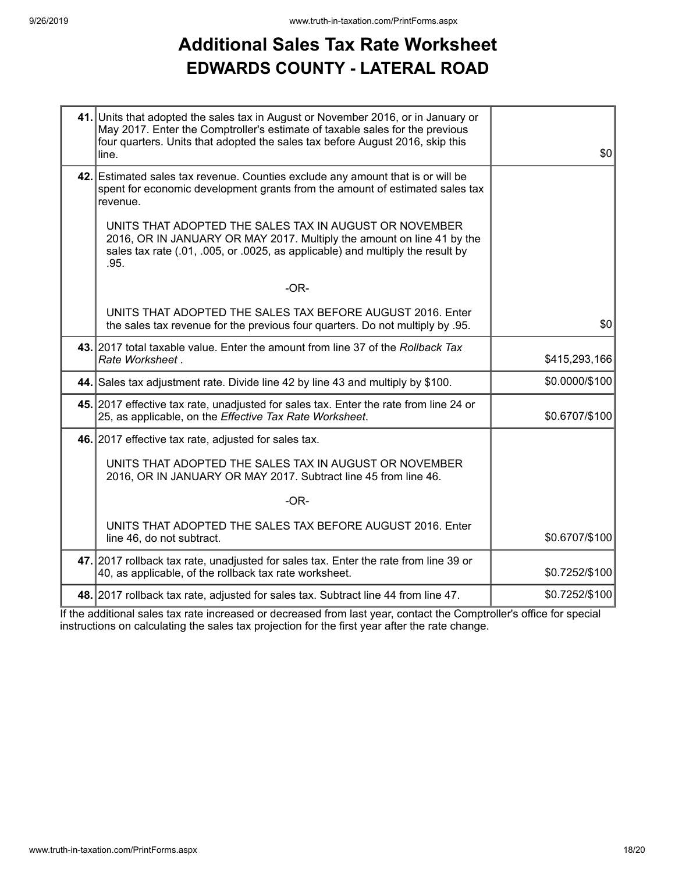## **Additional Sales Tax Rate Worksheet EDWARDS COUNTY - LATERAL ROAD**

| 41. Units that adopted the sales tax in August or November 2016, or in January or<br>May 2017. Enter the Comptroller's estimate of taxable sales for the previous<br>four quarters. Units that adopted the sales tax before August 2016, skip this<br>line. | \$0            |
|-------------------------------------------------------------------------------------------------------------------------------------------------------------------------------------------------------------------------------------------------------------|----------------|
| 42. Estimated sales tax revenue. Counties exclude any amount that is or will be<br>spent for economic development grants from the amount of estimated sales tax<br>revenue.                                                                                 |                |
| UNITS THAT ADOPTED THE SALES TAX IN AUGUST OR NOVEMBER<br>2016, OR IN JANUARY OR MAY 2017. Multiply the amount on line 41 by the<br>sales tax rate (.01, .005, or .0025, as applicable) and multiply the result by<br>.95.                                  |                |
| $-OR-$                                                                                                                                                                                                                                                      |                |
| UNITS THAT ADOPTED THE SALES TAX BEFORE AUGUST 2016. Enter<br>the sales tax revenue for the previous four quarters. Do not multiply by .95.                                                                                                                 | \$0            |
| 43. 2017 total taxable value. Enter the amount from line 37 of the Rollback Tax<br>Rate Worksheet.                                                                                                                                                          | \$415,293,166  |
| 44. Sales tax adjustment rate. Divide line 42 by line 43 and multiply by \$100.                                                                                                                                                                             | \$0.0000/\$100 |
| 45. 2017 effective tax rate, unadjusted for sales tax. Enter the rate from line 24 or<br>25, as applicable, on the Effective Tax Rate Worksheet.                                                                                                            | \$0.6707/\$100 |
| 46. 2017 effective tax rate, adjusted for sales tax.                                                                                                                                                                                                        |                |
| UNITS THAT ADOPTED THE SALES TAX IN AUGUST OR NOVEMBER<br>2016, OR IN JANUARY OR MAY 2017. Subtract line 45 from line 46.                                                                                                                                   |                |
| $-OR-$                                                                                                                                                                                                                                                      |                |
| UNITS THAT ADOPTED THE SALES TAX BEFORE AUGUST 2016. Enter<br>line 46, do not subtract.                                                                                                                                                                     | \$0.6707/\$100 |
| 47. 2017 rollback tax rate, unadjusted for sales tax. Enter the rate from line 39 or<br>40, as applicable, of the rollback tax rate worksheet.                                                                                                              | \$0.7252/\$100 |
| 48. 2017 rollback tax rate, adjusted for sales tax. Subtract line 44 from line 47.                                                                                                                                                                          | \$0.7252/\$100 |

If the additional sales tax rate increased or decreased from last year, contact the Comptroller's office for special instructions on calculating the sales tax projection for the first year after the rate change.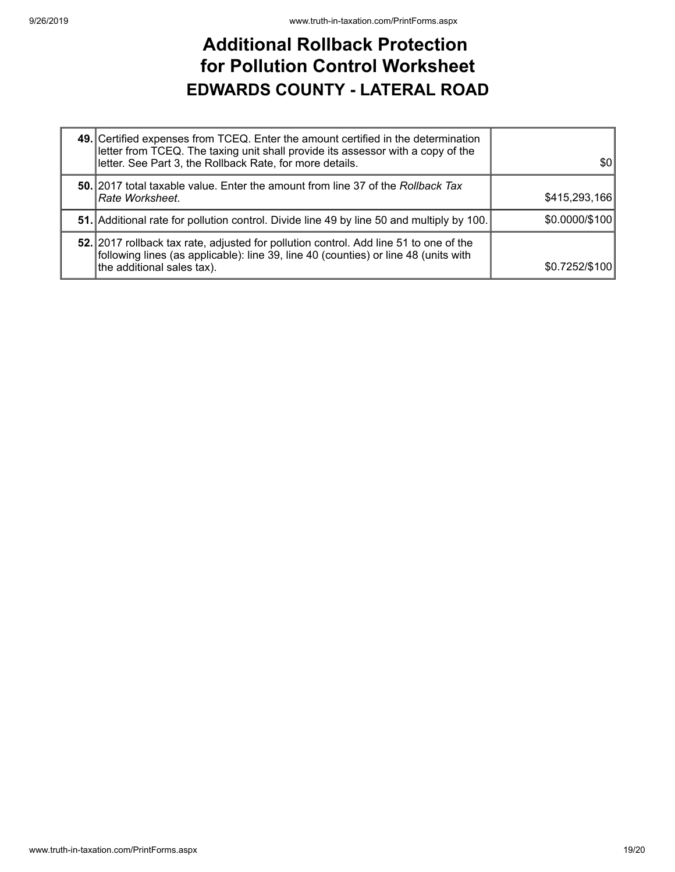### **Additional Rollback Protection for Pollution Control Worksheet EDWARDS COUNTY - LATERAL ROAD**

| 49. Certified expenses from TCEQ. Enter the amount certified in the determination<br>letter from TCEQ. The taxing unit shall provide its assessor with a copy of the<br>letter. See Part 3, the Rollback Rate, for more details. | \$0            |
|----------------------------------------------------------------------------------------------------------------------------------------------------------------------------------------------------------------------------------|----------------|
| 50. 2017 total taxable value. Enter the amount from line 37 of the Rollback Tax<br>Rate Worksheet.                                                                                                                               | \$415,293,166  |
| 51. Additional rate for pollution control. Divide line 49 by line 50 and multiply by 100.                                                                                                                                        | \$0.0000/\$100 |
| 52. 2017 rollback tax rate, adjusted for pollution control. Add line 51 to one of the<br>following lines (as applicable): line 39, line 40 (counties) or line 48 (units with<br>the additional sales tax).                       | \$0.7252/\$100 |